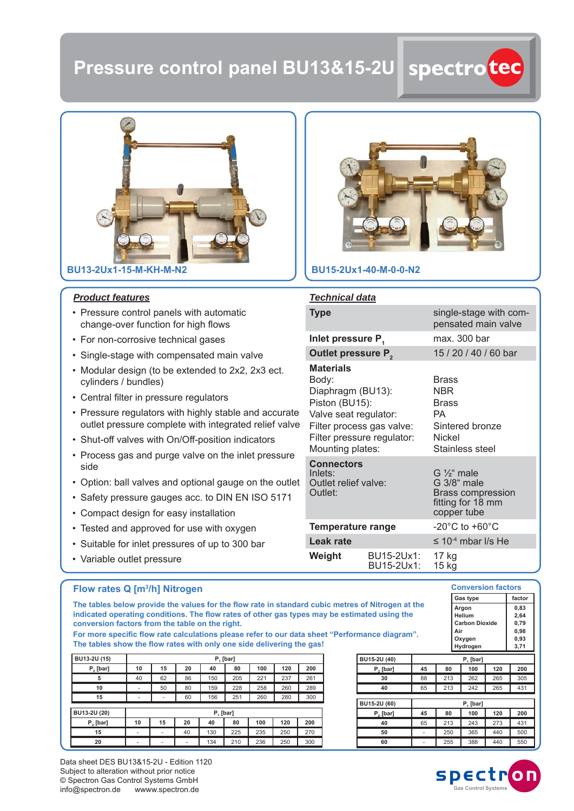# **Pressure control panel BU13&15-2U**



#### *Product features*

- Pressure control panels with automatic change-over function for high flows
- For non-corrosive technical gases
- Single-stage with compensated main valve
- Modular design (to be extended to 2x2, 2x3 ect. cylinders / bundles)
- Central filter in pressure regulators
- Pressure regulators with highly stable and accurate outlet pressure complete with integrated relief valve
- Shut-off valves with On/Off -position indicators
- Process gas and purge valve on the inlet pressure side
- Option: ball valves and optional gauge on the outlet
- Safety pressure gauges acc. to DIN EN ISO 5171
- Compact design for easy installation
- Tested and approved for use with oxygen
- Suitable for inlet pressures of up to 300 bar
- Variable outlet pressure



## **BU15-2Ux1-40-M-0-0-N2**

### *Technical data*

| <b>Type</b>                                                                                                                                                              |                                                                                                       | single-stage with com-<br>pensated main valve                                                            |  |  |  |  |
|--------------------------------------------------------------------------------------------------------------------------------------------------------------------------|-------------------------------------------------------------------------------------------------------|----------------------------------------------------------------------------------------------------------|--|--|--|--|
| Inlet pressure P,                                                                                                                                                        |                                                                                                       | max. 300 bar                                                                                             |  |  |  |  |
| Outlet pressure P <sub>2</sub>                                                                                                                                           |                                                                                                       | 15 / 20 / 40 / 60 bar                                                                                    |  |  |  |  |
| <b>Materials</b><br>Body:<br>Diaphragm (BU13):<br>Piston (BU15):<br>Valve seat regulator:<br>Filter process gas valve:<br>Filter pressure regulator:<br>Mounting plates: |                                                                                                       | <b>Brass</b><br><b>NBR</b><br><b>Brass</b><br>PA.<br>Sintered bronze<br><b>Nickel</b><br>Stainless steel |  |  |  |  |
| <b>Connectors</b><br>Inlets:<br>Outlet relief valve:<br>Outlet:                                                                                                          | G $\frac{1}{2}$ " male<br>G 3/8" male<br><b>Brass compression</b><br>fitting for 18 mm<br>copper tube |                                                                                                          |  |  |  |  |
| <b>Temperature range</b>                                                                                                                                                 |                                                                                                       | $-20^{\circ}$ C to $+60^{\circ}$ C                                                                       |  |  |  |  |
| Leak rate                                                                                                                                                                |                                                                                                       | $\leq$ 10 <sup>-4</sup> mbar I/s He                                                                      |  |  |  |  |
| Weight                                                                                                                                                                   | BU15-2Ux1:<br>BU15-2Ux1:                                                                              | 17 kg<br>15 kg                                                                                           |  |  |  |  |

#### **Flow rates Q [m3 /h] Nitrogen**

The tables below provide the values for the flow rate in standard cubic metres of Nitrogen at the indicated operating conditions. The flow rates of other gas types may be estimated using the **conversion factors from the table on the right.**

For more specific flow rate calculations please refer to our data sheet "Performance diagram". The tables show the flow rates with only one side delivering the gas!

| BU13-2U (15) |    | P. [bar] |    |     |     |     |     |     |  |  |
|--------------|----|----------|----|-----|-----|-----|-----|-----|--|--|
| P, [bar]     | 10 | 15       | 20 | 40  | 80  | 100 | 120 | 200 |  |  |
| 5            | 40 | 62       | 86 | 150 | 205 | 221 | 237 | 261 |  |  |
| 10           | ۰  | 50       | 80 | 159 | 228 | 258 | 260 | 289 |  |  |
| 15           | ۰  | ۰        | 60 | 156 | 251 | 260 | 280 | 300 |  |  |
| BU13-2U (20) |    | P, [bar] |    |     |     |     |     |     |  |  |
| P, [bar]     | 10 | 15       | 20 | 40  | 80  | 100 | 120 | 200 |  |  |
| 15           | ٠  | ٠        | 40 | 130 | 225 | 235 | 250 | 270 |  |  |
| 20           | ۰  | ۰        | ۰  | 134 | 210 | 236 | 250 | 300 |  |  |

|              |    |          | ,<br>Hydrogen |     | - - - -<br>3,71 |  |  |  |  |
|--------------|----|----------|---------------|-----|-----------------|--|--|--|--|
| BU15-2U (40) |    | P. [bar] |               |     |                 |  |  |  |  |
| P, [bar]     | 45 | 80       | 100           | 120 | 200             |  |  |  |  |
| 30           | 88 | 213      | 262           | 265 | 305             |  |  |  |  |
| 40           | 65 | 213      | 242           | 265 | 431             |  |  |  |  |
| BU15-2U (60) |    | P. [bar] |               |     |                 |  |  |  |  |
| P, [bar]     | 45 | 80       | 100           | 120 | 200             |  |  |  |  |
| 40           | 65 | 213      | 243           | 273 | 431             |  |  |  |  |
| 50           |    | 250      | 365           | 440 | 500             |  |  |  |  |
| 60           |    | 255      | 388           | 440 | 550             |  |  |  |  |





Gas type **factor** 

**Conversion factors**

**0,83 2,64 0,79 0,98 0,93**

**Argon Helium Carbon Dioxide Air Oxygen**